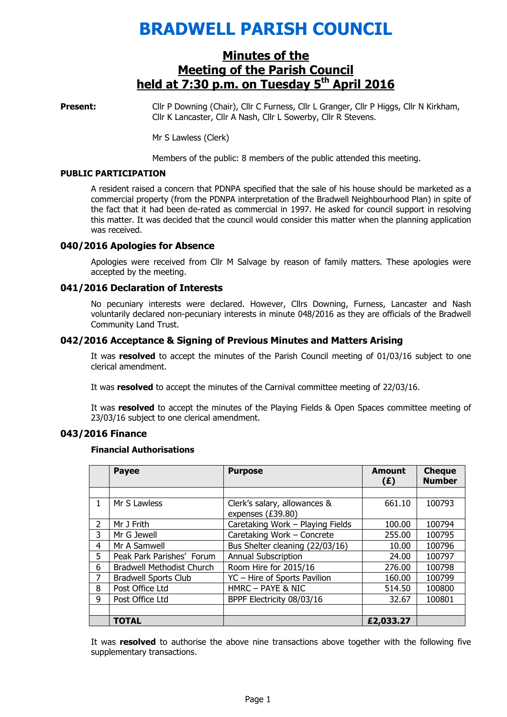# BRADWELL PARISH COUNCIL

## Minutes of the Meeting of the Parish Council held at  $7:30$  p.m. on Tuesday  $5<sup>th</sup>$  April 2016

Present: Cllr P Downing (Chair), Cllr C Furness, Cllr L Granger, Cllr P Higgs, Cllr N Kirkham, Cllr K Lancaster, Cllr A Nash, Cllr L Sowerby, Cllr R Stevens.

Mr S Lawless (Clerk)

Members of the public: 8 members of the public attended this meeting.

#### PUBLIC PARTICIPATION

A resident raised a concern that PDNPA specified that the sale of his house should be marketed as a commercial property (from the PDNPA interpretation of the Bradwell Neighbourhood Plan) in spite of the fact that it had been de-rated as commercial in 1997. He asked for council support in resolving this matter. It was decided that the council would consider this matter when the planning application was received.

### 040/2016 Apologies for Absence

 Apologies were received from Cllr M Salvage by reason of family matters. These apologies were accepted by the meeting.

### 041/2016 Declaration of Interests

No pecuniary interests were declared. However, Cllrs Downing, Furness, Lancaster and Nash voluntarily declared non-pecuniary interests in minute 048/2016 as they are officials of the Bradwell Community Land Trust.

## 042/2016 Acceptance & Signing of Previous Minutes and Matters Arising

It was resolved to accept the minutes of the Parish Council meeting of 01/03/16 subject to one clerical amendment.

It was resolved to accept the minutes of the Carnival committee meeting of 22/03/16.

It was resolved to accept the minutes of the Playing Fields & Open Spaces committee meeting of 23/03/16 subject to one clerical amendment.

### 043/2016 Finance

#### Financial Authorisations

|                | <b>Payee</b>                     | <b>Purpose</b>                                    | <b>Amount</b><br>(E) | <b>Cheque</b><br><b>Number</b> |
|----------------|----------------------------------|---------------------------------------------------|----------------------|--------------------------------|
|                |                                  |                                                   |                      |                                |
| $\mathbf{1}$   | Mr S Lawless                     | Clerk's salary, allowances &<br>expenses (£39.80) | 661.10               | 100793                         |
| $\overline{2}$ | Mr J Frith                       | Caretaking Work - Playing Fields                  | 100.00               | 100794                         |
| 3              | Mr G Jewell                      | Caretaking Work - Concrete                        | 255.00               | 100795                         |
| 4              | Mr A Samwell                     | Bus Shelter cleaning (22/03/16)                   | 10.00                | 100796                         |
| 5              | Peak Park Parishes' Forum        | <b>Annual Subscription</b>                        | 24.00                | 100797                         |
| 6              | <b>Bradwell Methodist Church</b> | Room Hire for 2015/16                             | 276.00               | 100798                         |
| 7              | <b>Bradwell Sports Club</b>      | YC - Hire of Sports Pavilion                      | 160.00               | 100799                         |
| 8              | Post Office Ltd                  | HMRC - PAYE & NIC                                 | 514.50               | 100800                         |
| 9              | Post Office Ltd                  | BPPF Electricity 08/03/16                         | 32.67                | 100801                         |
|                |                                  |                                                   |                      |                                |
|                | <b>TOTAL</b>                     |                                                   | £2,033.27            |                                |

It was resolved to authorise the above nine transactions above together with the following five supplementary transactions.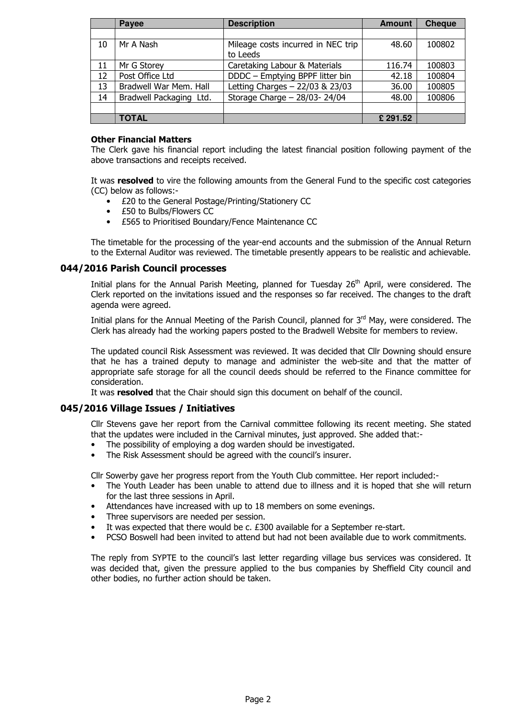|    | Payee                   | <b>Description</b>                 | <b>Amount</b> | <b>Cheque</b> |
|----|-------------------------|------------------------------------|---------------|---------------|
|    |                         |                                    |               |               |
| 10 | Mr A Nash               | Mileage costs incurred in NEC trip | 48.60         | 100802        |
|    |                         | to Leeds                           |               |               |
| 11 | Mr G Storey             | Caretaking Labour & Materials      | 116.74        | 100803        |
| 12 | Post Office Ltd         | DDDC - Emptying BPPF litter bin    | 42.18         | 100804        |
| 13 | Bradwell War Mem. Hall  | Letting Charges - 22/03 & 23/03    | 36.00         | 100805        |
| 14 | Bradwell Packaging Ltd. | Storage Charge $-$ 28/03- 24/04    | 48.00         | 100806        |
|    |                         |                                    |               |               |
|    | <b>TOTAL</b>            |                                    | £ 291.52      |               |

## Other Financial Matters

The Clerk gave his financial report including the latest financial position following payment of the above transactions and receipts received.

It was resolved to vire the following amounts from the General Fund to the specific cost categories (CC) below as follows:-

- £20 to the General Postage/Printing/Stationery CC
- £50 to Bulbs/Flowers CC
- £565 to Prioritised Boundary/Fence Maintenance CC

The timetable for the processing of the year-end accounts and the submission of the Annual Return to the External Auditor was reviewed. The timetable presently appears to be realistic and achievable.

## 044/2016 Parish Council processes

Initial plans for the Annual Parish Meeting, planned for Tuesday 26<sup>th</sup> April, were considered. The Clerk reported on the invitations issued and the responses so far received. The changes to the draft agenda were agreed.

Initial plans for the Annual Meeting of the Parish Council, planned for 3<sup>rd</sup> May, were considered. The Clerk has already had the working papers posted to the Bradwell Website for members to review.

The updated council Risk Assessment was reviewed. It was decided that Cllr Downing should ensure that he has a trained deputy to manage and administer the web-site and that the matter of appropriate safe storage for all the council deeds should be referred to the Finance committee for consideration.

It was resolved that the Chair should sign this document on behalf of the council.

## 045/2016 Village Issues / Initiatives

Cllr Stevens gave her report from the Carnival committee following its recent meeting. She stated that the updates were included in the Carnival minutes, just approved. She added that:-

- The possibility of employing a dog warden should be investigated.
- The Risk Assessment should be agreed with the council's insurer.

Cllr Sowerby gave her progress report from the Youth Club committee. Her report included:-

- The Youth Leader has been unable to attend due to illness and it is hoped that she will return for the last three sessions in April.
- Attendances have increased with up to 18 members on some evenings.
- Three supervisors are needed per session.
- It was expected that there would be c. £300 available for a September re-start.
- PCSO Boswell had been invited to attend but had not been available due to work commitments.

The reply from SYPTE to the council's last letter regarding village bus services was considered. It was decided that, given the pressure applied to the bus companies by Sheffield City council and other bodies, no further action should be taken.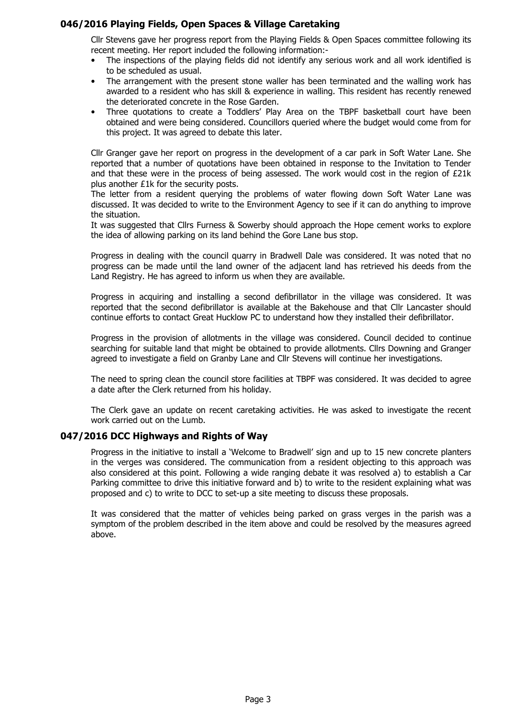## 046/2016 Playing Fields, Open Spaces & Village Caretaking

Cllr Stevens gave her progress report from the Playing Fields & Open Spaces committee following its recent meeting. Her report included the following information:-

- The inspections of the playing fields did not identify any serious work and all work identified is to be scheduled as usual.
- The arrangement with the present stone waller has been terminated and the walling work has awarded to a resident who has skill & experience in walling. This resident has recently renewed the deteriorated concrete in the Rose Garden.
- Three quotations to create a Toddlers' Play Area on the TBPF basketball court have been obtained and were being considered. Councillors queried where the budget would come from for this project. It was agreed to debate this later.

Cllr Granger gave her report on progress in the development of a car park in Soft Water Lane. She reported that a number of quotations have been obtained in response to the Invitation to Tender and that these were in the process of being assessed. The work would cost in the region of £21k plus another £1k for the security posts.

The letter from a resident querying the problems of water flowing down Soft Water Lane was discussed. It was decided to write to the Environment Agency to see if it can do anything to improve the situation.

It was suggested that Cllrs Furness & Sowerby should approach the Hope cement works to explore the idea of allowing parking on its land behind the Gore Lane bus stop.

Progress in dealing with the council quarry in Bradwell Dale was considered. It was noted that no progress can be made until the land owner of the adjacent land has retrieved his deeds from the Land Registry. He has agreed to inform us when they are available.

Progress in acquiring and installing a second defibrillator in the village was considered. It was reported that the second defibrillator is available at the Bakehouse and that Cllr Lancaster should continue efforts to contact Great Hucklow PC to understand how they installed their defibrillator.

Progress in the provision of allotments in the village was considered. Council decided to continue searching for suitable land that might be obtained to provide allotments. Cllrs Downing and Granger agreed to investigate a field on Granby Lane and Cllr Stevens will continue her investigations.

The need to spring clean the council store facilities at TBPF was considered. It was decided to agree a date after the Clerk returned from his holiday.

The Clerk gave an update on recent caretaking activities. He was asked to investigate the recent work carried out on the Lumb.

### 047/2016 DCC Highways and Rights of Way

Progress in the initiative to install a 'Welcome to Bradwell' sign and up to 15 new concrete planters in the verges was considered. The communication from a resident objecting to this approach was also considered at this point. Following a wide ranging debate it was resolved a) to establish a Car Parking committee to drive this initiative forward and b) to write to the resident explaining what was proposed and c) to write to DCC to set-up a site meeting to discuss these proposals.

It was considered that the matter of vehicles being parked on grass verges in the parish was a symptom of the problem described in the item above and could be resolved by the measures agreed above.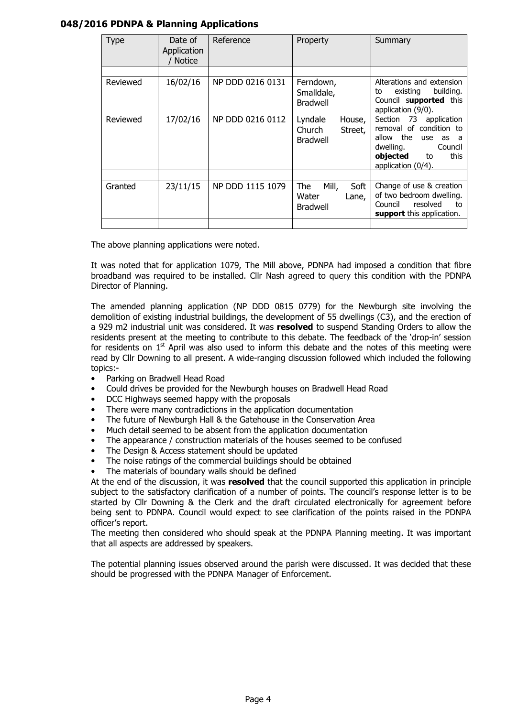## 048/2016 PDNPA & Planning Applications

| Type     | Date of<br>Application<br><b>Notice</b> | Reference        | Property                                                  | Summary                                                                                                                                                                                      |
|----------|-----------------------------------------|------------------|-----------------------------------------------------------|----------------------------------------------------------------------------------------------------------------------------------------------------------------------------------------------|
| Reviewed | 16/02/16                                | NP DDD 0216 0131 | Ferndown,<br>Smalldale,<br><b>Bradwell</b>                | Alterations and extension<br>building.<br>existing<br>to<br>Council supported this                                                                                                           |
| Reviewed | 17/02/16                                | NP DDD 0216 0112 | Lyndale<br>House,<br>Church<br>Street,<br><b>Bradwell</b> | application (9/0).<br>73<br>Section<br>application<br>removal of condition to<br>the<br>allow<br>use<br>as<br>a -<br>dwelling.<br>Council<br>objected<br>this<br>to<br>application $(0/4)$ . |
| Granted  | 23/11/15                                | NP DDD 1115 1079 | Mill,<br>The<br>Soft<br>Water<br>Lane,<br><b>Bradwell</b> | Change of use & creation<br>of two bedroom dwelling.<br>resolved<br>Council<br>to<br>support this application.                                                                               |

The above planning applications were noted.

It was noted that for application 1079, The Mill above, PDNPA had imposed a condition that fibre broadband was required to be installed. Cllr Nash agreed to query this condition with the PDNPA Director of Planning.

The amended planning application (NP DDD 0815 0779) for the Newburgh site involving the demolition of existing industrial buildings, the development of 55 dwellings (C3), and the erection of a 929 m2 industrial unit was considered. It was resolved to suspend Standing Orders to allow the residents present at the meeting to contribute to this debate. The feedback of the 'drop-in' session for residents on  $1<sup>st</sup>$  April was also used to inform this debate and the notes of this meeting were read by Cllr Downing to all present. A wide-ranging discussion followed which included the following topics:-

- Parking on Bradwell Head Road
- Could drives be provided for the Newburgh houses on Bradwell Head Road
- DCC Highways seemed happy with the proposals
- There were many contradictions in the application documentation
- The future of Newburgh Hall & the Gatehouse in the Conservation Area
- Much detail seemed to be absent from the application documentation
- The appearance / construction materials of the houses seemed to be confused
- The Design & Access statement should be updated
- The noise ratings of the commercial buildings should be obtained
- The materials of boundary walls should be defined

At the end of the discussion, it was resolved that the council supported this application in principle subject to the satisfactory clarification of a number of points. The council's response letter is to be started by Cllr Downing & the Clerk and the draft circulated electronically for agreement before being sent to PDNPA. Council would expect to see clarification of the points raised in the PDNPA officer's report.

The meeting then considered who should speak at the PDNPA Planning meeting. It was important that all aspects are addressed by speakers.

The potential planning issues observed around the parish were discussed. It was decided that these should be progressed with the PDNPA Manager of Enforcement.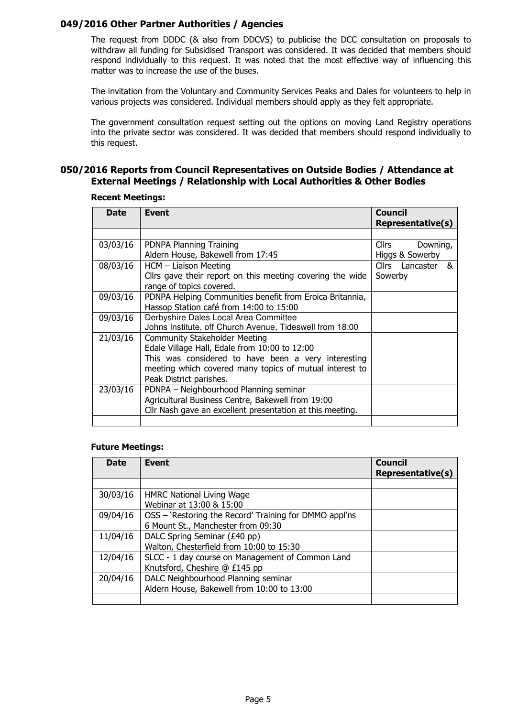## 049/2016 Other Partner Authorities / Agencies

The request from DDDC (& also from DDCVS) to publicise the DCC consultation on proposals to withdraw all funding for Subsidised Transport was considered. It was decided that members should respond individually to this request. It was noted that the most effective way of influencing this matter was to increase the use of the buses.

The invitation from the Voluntary and Community Services Peaks and Dales for volunteers to help in various projects was considered. Individual members should apply as they felt appropriate.

The government consultation request setting out the options on moving Land Registry operations into the private sector was considered. It was decided that members should respond individually to this request.

## 050/2016 Reports from Council Representatives on Outside Bodies / Attendance at External Meetings / Relationship with Local Authorities & Other Bodies

| <b>Date</b> | <b>Event</b>                                                                                                                                                                                                                       | Council<br><b>Representative(s)</b>         |
|-------------|------------------------------------------------------------------------------------------------------------------------------------------------------------------------------------------------------------------------------------|---------------------------------------------|
|             |                                                                                                                                                                                                                                    |                                             |
| 03/03/16    | PDNPA Planning Training<br>Aldern House, Bakewell from 17:45                                                                                                                                                                       | <b>Cllrs</b><br>Downing,<br>Higgs & Sowerby |
| 08/03/16    | HCM - Liaison Meeting<br>Cllrs gave their report on this meeting covering the wide<br>range of topics covered.                                                                                                                     | Cllrs Lancaster &<br>Sowerby                |
| 09/03/16    | PDNPA Helping Communities benefit from Eroica Britannia,<br>Hassop Station café from 14:00 to 15:00                                                                                                                                |                                             |
| 09/03/16    | Derbyshire Dales Local Area Committee<br>Johns Institute, off Church Avenue, Tideswell from 18:00                                                                                                                                  |                                             |
| 21/03/16    | <b>Community Stakeholder Meeting</b><br>Edale Village Hall, Edale from 10:00 to 12:00<br>This was considered to have been a very interesting<br>meeting which covered many topics of mutual interest to<br>Peak District parishes. |                                             |
| 23/03/16    | PDNPA - Neighbourhood Planning seminar<br>Agricultural Business Centre, Bakewell from 19:00<br>Cllr Nash gave an excellent presentation at this meeting.                                                                           |                                             |
|             |                                                                                                                                                                                                                                    |                                             |

### Recent Meetings:

### Future Meetings:

| <b>Date</b> | Event                                                  | <b>Council</b><br><b>Representative(s)</b> |
|-------------|--------------------------------------------------------|--------------------------------------------|
|             |                                                        |                                            |
| 30/03/16    | <b>HMRC National Living Wage</b>                       |                                            |
|             | Webinar at 13:00 & 15:00                               |                                            |
| 09/04/16    | OSS - 'Restoring the Record' Training for DMMO appl'ns |                                            |
|             | 6 Mount St., Manchester from 09:30                     |                                            |
| 11/04/16    | DALC Spring Seminar (£40 pp)                           |                                            |
|             | Walton, Chesterfield from 10:00 to 15:30               |                                            |
| 12/04/16    | SLCC - 1 day course on Management of Common Land       |                                            |
|             | Knutsford, Cheshire @ £145 pp                          |                                            |
| 20/04/16    | DALC Neighbourhood Planning seminar                    |                                            |
|             | Aldern House, Bakewell from 10:00 to 13:00             |                                            |
|             |                                                        |                                            |